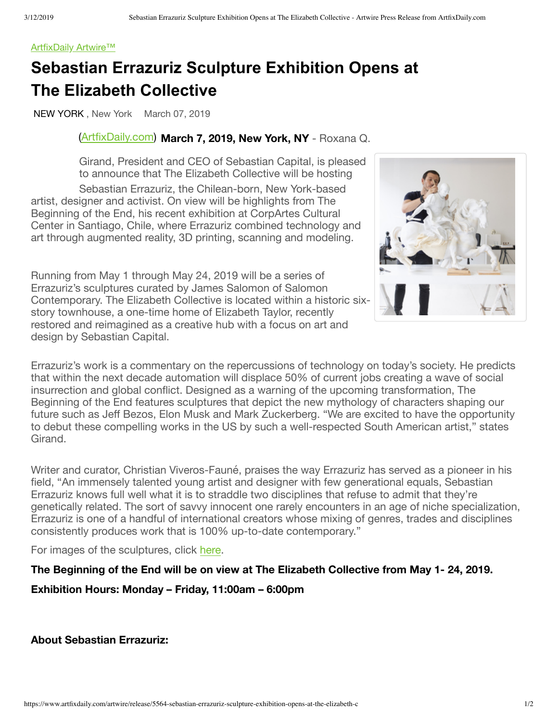#### [ArtfixDaily Artwire™](https://www.artfixdaily.com/artwire)

# **Sebastian Errazuriz Sculpture Exhibition Opens at The Elizabeth Collective**

NEW YORK , New York March 07, 2019

# [\(](https://www.artfixdaily.com/tag/architecture)[ArtfixDaily.com\)](http://www.artfixdaily.com/) **March 7, 2019, New York, NY** - Roxana Q.

Girand, President and CEO of Sebastian Capital, is pleased to announce that The Elizabeth Collective will be hosting

Sebastian Errazuriz, the Chilean-born, New York-based artist, designer and activist. On view will be highlights from The Beginning of the End, his recent exhibition at CorpArtes Cultural Center in Santiago, Chile, where Errazuriz combined technology and art through augmented reality, 3D printing, scanning and modeling.

Running from May 1 through May 24, 2019 will be a series of Errazuriz's sculptures curated by James Salomon of Salomon Contemporary. The Elizabeth Collective is located within a historic sixstory townhouse, a one-time home of Elizabeth Taylor, recently restored and reimagined as a creative hub with a focus on art and design by Sebastian Capital.



Errazuriz's work is a commentary on the repercussions of technology on today's society. He predicts that within the next decade automation will displace 50% of current jobs creating a wave of social insurrection and global conflict. Designed as a warning of the upcoming transformation, The Beginning of the End features sculptures that depict the new mythology of characters shaping our future such as Jeff Bezos, Elon Musk and Mark Zuckerberg. "We are excited to have the opportunity to debut these compelling works in the US by such a well-respected South American artist," states **Girand** 

Writer and curator, Christian Viveros-Fauné, praises the way Errazuriz has served as a pioneer in his field, "An immensely talented young artist and designer with few generational equals, Sebastian Errazuriz knows full well what it is to straddle two disciplines that refuse to admit that they're genetically related. The sort of savvy innocent one rarely encounters in an age of niche specialization, Errazuriz is one of a handful of international creators whose mixing of genres, trades and disciplines consistently produces work that is 100% up-to-date contemporary."

For images of the sculptures, click [here.](https://www.dropbox.com/sh/r0n7xzmcnosj1kh/AADehcbpKEFNhbJjS38GntQfa?dl=0)

**The Beginning of the End will be on view at The Elizabeth Collective from May 1- 24, 2019. Exhibition Hours: Monday – Friday, 11:00am – 6:00pm**

# **About Sebastian Errazuriz:**